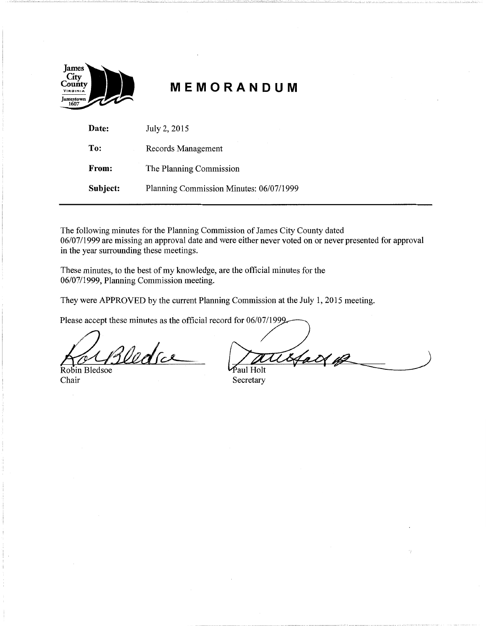

# **MEMORANDUM**

| Date:    | July 2, 2015                            |
|----------|-----------------------------------------|
| To:      | Records Management                      |
| From:    | The Planning Commission                 |
| Subject: | Planning Commission Minutes: 06/07/1999 |

The following minutes for the Planning Commission of James City County dated 06/07/1999 are missing an approval date and were either never voted on or never presented for approval in the year surrounding these meetings.

These minutes, to the best of my knowledge, are the official minutes for the 06/07/1999, Planning Commission meeting.

They were APPROVED by the current Planning Commission at the July 1, 2015 meeting.

Please accept these minutes as the official record for 06/07/1999.

Robin Bledsoe These minutes, to the best of my knowledge, are the official minutes for the 06/07/1999, Planning Commission meeting.<br>
They were APPROVED by the current Planning Commission at the July 1, 2<br>
Please accept these minutes as

Chair Secretary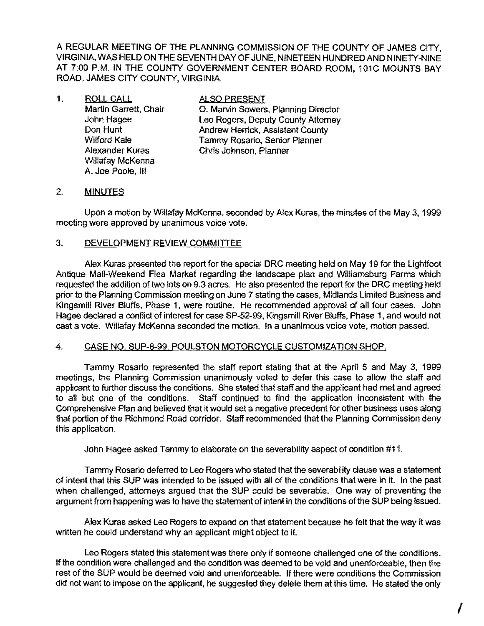A REGULAR MEETING OF THE PLANNING COMMISSION OF THE COUNTY OF JAMES CITY, VIRGINIA, WAS HELD ON THE SEVENTH DAY OF JUNE, NINETEEN HUNDRED AND NINETY-NINE AT 7:00 P.M. **IN** THE COUNTY GOVERNMENT CENTER BOARD ROOM, 101C MOUNTS BAY ROAD, JAMES CITY COUNTY, VIRGINIA.

1. ROLL CALL **ALSO PRESENT** Willafay McKenna A. Joe Poole, III

Martin Garrett, Chair **O. Marvin Sowers, Planning Director** John Hagee Leo Rogers, Deputy County Attorney **Don Hunt County Andrew Herrick, Assistant County Wilford Kale** Tammy Rosario, Senior Planner Alexander Kuras Chris Johnson, Planner

# 2. **MINUTES**

Upon a motion by Willafay McKenna, seconded by Alex Kuras, the minutes of the May 3, 1999 meeting were approved by unanimous voice vote.

# 3. DEVELOPMENT REVIEW COMMITTEE

Alex Kuras presented the report for the special DRC meeting held on May 19 for the Lightfoot Antique Mall-Weekend Flea Market regarding the landscape plan and Williamsburg Farms which requested the addition of two lots on 9.3 acres. He also presented the report for the DRC meeting held prior to the Planning Commission meeting on June 7 stating the cases, Midlands Limited Business and Kingsmill River Bluffs, Phase 1, were routine. He recommended approval of all four cases. John Hagee declared a conflict of interest for case SP-52-99, Kingsmill River Bluffs, Phase 1, and would not cast a vote. Willafay McKenna seconded the motion. In a unanimous voice vote, motion passed.

#### 4. CASE NO. SUP-8-99. POULSTON MOTORCYCLE CUSTOMIZATION SHOP.

Tammy Rosario represented the staff report stating that at the April 5 and May 3, 1999 meetings, the Planning Commission unanimously voted to defer this case to allow the staff and applicant to further discuss the conditions. She stated that staff and the applicant had met and agreed to all but one of the conditions. Staff continued to find the application inconsistent with the Comprehensive Plan and believed that it would set a negative precedent for other business uses along that portion of the Richmond Road corridor. Staff recommended that the Planning Commission deny this application.

John Hagee asked Tammy to elaborate on the severability aspect of condition #11.

Tammy Rosario deferred to Leo Rogers who stated that the severability clause was a statement of intent that this SUP was intended to be issued with all of the conditions that were in it. In the past when challenged, attorneys argued that the SUP could be severable. One way of preventing the argument from happening was to have the statement of intent in the conditions of the SUP being issued.

Alex Kuras asked Leo Rogers to expand on that statement because he felt that the way it was written he could understand why an applicant might object to it.

Leo Rogers stated this statement was there only if someone challenged one of the conditions. If the condition were challenged and the condition was deemed to be void and unenforceable, then the rest of the SUP would be deemed void and unenforceable. If there were conditions the Commission did not want to impose on the applicant, he suggested they delete them at this time. He stated the only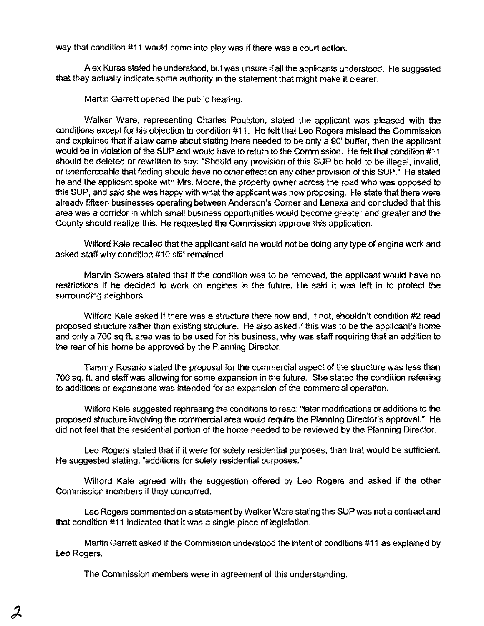way that condition #11 would come into play was if there was a court action.

Alex Kuras stated he understood, but was unsure ifall the applicants understood. He suggested that they actually indicate some authority in the statement that might make it clearer.

Martin Garrett opened the public hearing.

Walker Ware, representing Charles Poulston, stated the applicant was pleased with the conditions except for his objection to condition #11. He felt thai Leo Rogers mislead the Commission and explained that if a law came about stating there needed to be only a 90' buffer, then the applicant would be in violation of the SUP and would have to return to the Commission. He felt that condition #11 should be deleted or rewritten to say: "Should any provision of this SUP be held to be illegal, invalid, or unenforceable that finding should have no other effect on any other provision of this SUP." He stated he and the applicant spoke with Mrs. Moore, the property owner across the road who was opposed to this SUP, and said she was happy with what the applicant was now proposing. He state that there were already fifteen businesses operating between Anderson's Corner and Lenexa and concluded that this area was a corridor in which small business opportunities would become greater and greater and the County should realize this. He requested the Commission approve this application.

Wilford Kale recalled that the applicant said he would not be doing any type of engine work and asked staff why condition #10 still remained.

Marvin Sowers stated that if the condition was to be removed, the applicant would have no restrictions if he decided to work on engines in the future. He said it was left in to protect the surrounding neighbors.

Wilford Kale asked if there was a structure there now and, if not, shouldn't condition #2 read proposed structure rather than existing structure. He also asked if this was to be the applicant's home and only a 700 sq ft. area was to be used for his business, why was staff requiring that an addition to the rear of his home be approved by the Planning Director.

Tammy Rosario slated the proposal for the commercial aspect of the structure was less than 700 sq. ft. and staff was allowing for some expansion in the future. She stated the condition referring to additions or expansions was intended for an expansion of the commercial operation.

Wilford Kale suggested rephrasing the conditions to read: "later modifications or additions to the proposed structure involving the commercial area would require the Planning Director's approval." He did not feel that the residential portion of the home needed to be reviewed by the Planning Director.

Leo Rogers stated that if it were for solely residential purposes, than that would be sufficient. He suggested stating: "additions for solely residential purposes."

Wilford Kale agreed with the suggestion offered by Leo Rogers and asked if the other Commission members if they concurred.

Leo Rogers commented on a statement by Walker Ware stating Ihis SUP was not a contract and that condition #11 indicated that it was a single piece of legislation.

Martin Garrett asked if the Commission understood the inlent of conditions #11 as explained by Leo Rogers.

The Commission members were in agreement of this understanding.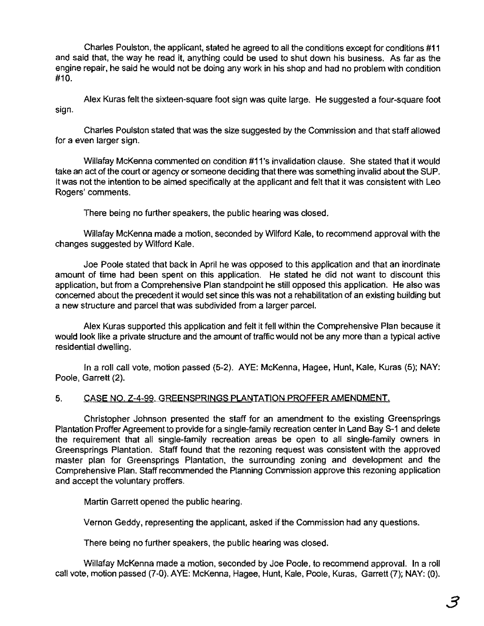Charles Poulston, the applicant, stated he agreed to all the conditions except for conditions #11 and said that, the way he read it, anything could be used to shut down his business. As far as the engine repair, he said he would not be doing any work in his shop and had no problem with condition #10.

Alex Kuras felt the sixteen-square foot sign was quite large. He suggested a four-square foot sign.

Charles Poulston stated that was the size suggested by the Commission and that staff allowed for a even larger sign.

WiUafay McKenna commented on condition #11's invalidation clause. She stated that it would take an act of the court or agency or someone deciding that there was something invalid about the SUP. It was not the intention to be aimed specifically at the applicant and fell that it was consistent with Leo Rogers' comments.

There being no further speakers, the public hearing was closed.

Willafay McKenna made a motion, seconded by Wilford Kale, to recommend approval with the changes suggested by Wilford Kale.

Joe Poole stated that back in April he was opposed to this application and that an inordinate amount of time had been spent on this application. He stated he did not want to discount this application, but from a Comprehensive Plan standpoint he still opposed this application. He also was concerned about the precedent it would set since this was not a rehabilitation of an existing building but a new structure and parcel that was subdivided from a larger parcel.

Alex Kuras supported this application and felt it fell within the Comprehensive Plan because it would look like a private structure and the amount of traffic would not be any more than a typical active residential dwelling.

In a roll call vote, motion passed (5-2). AYE: McKenna, Hagee, Hunt, Kale, Kuras (5); NAY: Poole, Garrett (2).

# 5. CASE NO, Z-4-99. GREENSPRINGS PLANTATION PROFFER AMENDMENT.

Christopher Johnson presented the staff for an amendment to the existing Greensprings Plantation Proffer Agreement to provide for a single-family recreation center in Land Bay S-1 and delete the requirement that all single-family recreation areas be open to all single-family owners in Greensprings Plantation. Staff found that the rezoning request was consistent with the approved master plan for Greensprings Plantation, the surrounding zoning and development and the Comprehensive Plan. Staff recommended the Planning Commission approve this rezoning application and accept the voluntary proffers.

Martin Garrett opened the public hearing.

Vernon Geddy, representing the applicant, asked if the Commission had any questions.

There being no further speakers, the public hearing was closed.

Willafay McKenna made a motion, seconded by Joe Poole. to recommend approval. In a roll call vote, motion passed (7-0). AYE: McKenna, Hagee. Hunt. Kale. Poole, KUras. Garrett (7); NAY: (0).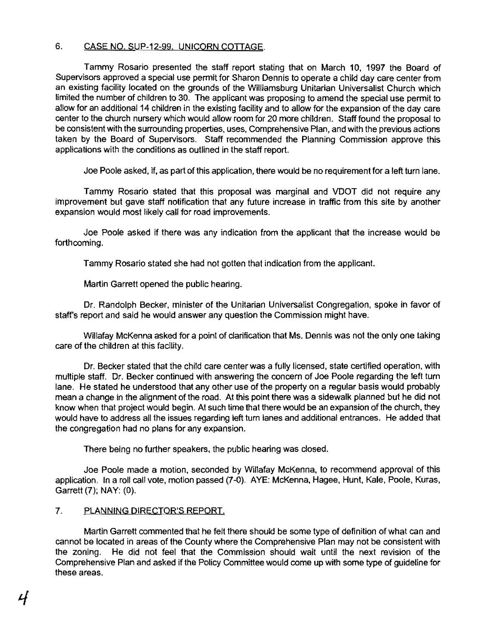# 6. CASE NO. SUP-12-99. UNICORN COTTAGE.

Tammy Rosario presented the staff report stating that on March 10, 1997 the Board of Supervisors approved a special use permit for Sharon Dennis to operate a child day care center from an existing facility located on the grounds of the Williamsburg Unitarian Universalist Church which limited the number of children to 30. The applicant was proposing to amend the special use permit to allow for an additional 14 children in the existing facility and to allow for the expansion of the day care center to the church nursery which would allow room for 20 more children. Staff found the proposal to be consistent with the surrounding properties, uses, Comprehensive Plan, and with the previous actions taken by the Board of Supervisors. Staff recommended the Planning Commission approve this applications with the conditions as outlined in the staff report.

Joe Poole asked, if, as part of this application, there would be no requirement for a left turn lane.

Tammy Rosario stated that this proposal was marginal and VDOT did not require any improvement but gave staff notification that any future increase in traffic from this site by another expansion would most likely call for road improvements.

Joe Poole asked if there was any indication from the applicant that the increase would be forthcoming.

Tammy Rosario stated she had not gotten that indication from the applicant.

Martin Garrett opened the public hearing.

Dr. Randolph Becker, minister of the Unitarian Universalist Congregation, spoke in favor of staff's report and said he would answer any question the Commission might have.

Willafay McKenna asked for a point of clarification that Ms. Dennis was not the only one taking care of the children at this facility.

Dr. Becker stated that the child care center was a fully licensed, state certified operation, with multiple staff. Dr. Becker continued with answering the concern of Joe Poole regarding the left turn lane. He stated he understood that any other use of the property on a regular basis would probably mean a change in the alignment of the road. At this point there was a sidewalk planned but he did not know when that project would begin. At such time that there would be an expansion of the church, they would have to address all the issues regarding left turn lanes and additional entrances. He added that the congregation had no plans for any expansion.

There being no further speakers, the public hearing was closed.

Joe Poole made a motion, seconded by Willafay McKenna, to recommend approval of this application. In a roll call vote, motion passed (7-0). AYE: McKenna, Hagee, Hunt, Kale, Poole, Kuras, Garrett (7); NAY: (0).

# 7. PLANNING DIRECTOR'S REPORT.

Martin Garrett commented that he felt there should be some type of definition of what can and cannot be located in areas of the County where the Comprehensive Plan may not be consistent with the zoning. He did not feel that the Commission should wait until the next revision of the Comprehensive Plan and asked if the Policy Committee would come up with some type of guideline for these areas.